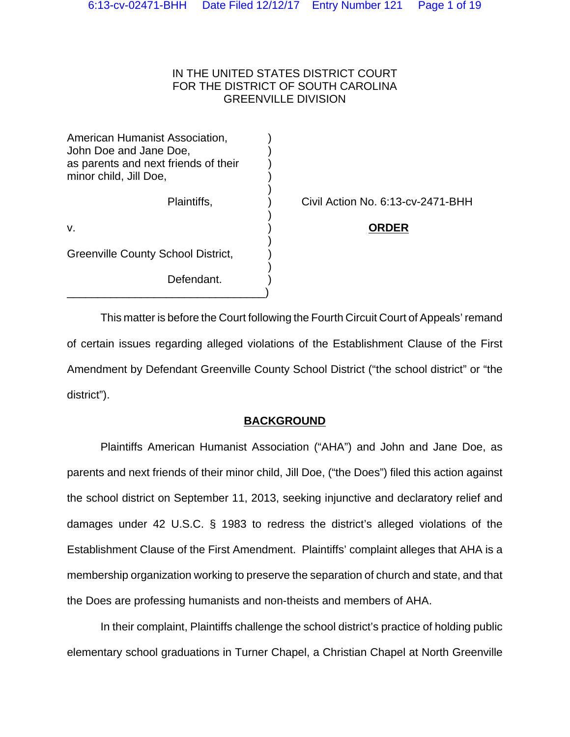### IN THE UNITED STATES DISTRICT COURT FOR THE DISTRICT OF SOUTH CAROLINA GREENVILLE DIVISION

| American Humanist Association,<br>John Doe and Jane Doe,<br>as parents and next friends of their<br>minor child, Jill Doe, |  |
|----------------------------------------------------------------------------------------------------------------------------|--|
| Plaintiffs,                                                                                                                |  |
| v.                                                                                                                         |  |
| Greenville County School District,                                                                                         |  |
| Defendant.                                                                                                                 |  |

\_\_\_\_\_\_\_\_\_\_\_\_\_\_\_\_\_\_\_\_\_\_\_\_\_\_\_\_\_\_\_\_)

Civil Action No. 6:13-cv-2471-BHH

**ORDER** 

This matter is before the Court following the Fourth Circuit Court of Appeals' remand of certain issues regarding alleged violations of the Establishment Clause of the First Amendment by Defendant Greenville County School District ("the school district" or "the district").

## **BACKGROUND**

Plaintiffs American Humanist Association ("AHA") and John and Jane Doe, as parents and next friends of their minor child, Jill Doe, ("the Does") filed this action against the school district on September 11, 2013, seeking injunctive and declaratory relief and damages under 42 U.S.C. § 1983 to redress the district's alleged violations of the Establishment Clause of the First Amendment. Plaintiffs' complaint alleges that AHA is a membership organization working to preserve the separation of church and state, and that the Does are professing humanists and non-theists and members of AHA.

In their complaint, Plaintiffs challenge the school district's practice of holding public elementary school graduations in Turner Chapel, a Christian Chapel at North Greenville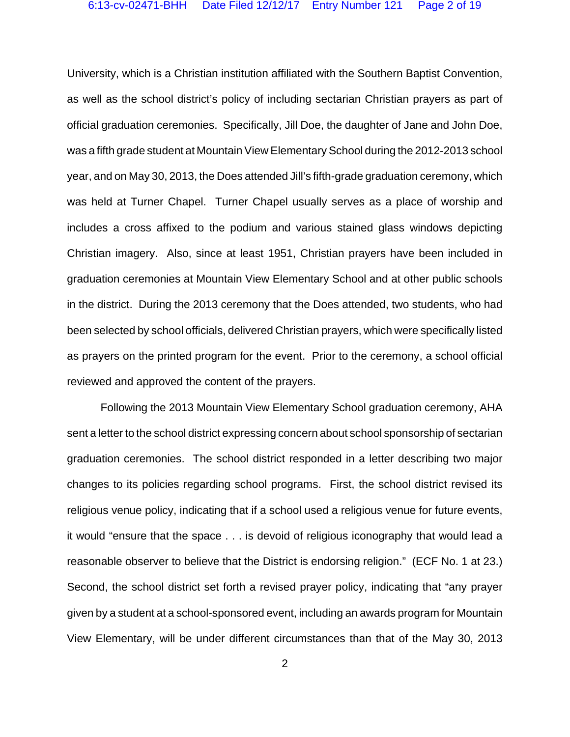University, which is a Christian institution affiliated with the Southern Baptist Convention, as well as the school district's policy of including sectarian Christian prayers as part of official graduation ceremonies. Specifically, Jill Doe, the daughter of Jane and John Doe, was a fifth grade student at Mountain View Elementary School during the 2012-2013 school year, and on May 30, 2013, the Does attended Jill's fifth-grade graduation ceremony, which was held at Turner Chapel. Turner Chapel usually serves as a place of worship and includes a cross affixed to the podium and various stained glass windows depicting Christian imagery. Also, since at least 1951, Christian prayers have been included in graduation ceremonies at Mountain View Elementary School and at other public schools in the district. During the 2013 ceremony that the Does attended, two students, who had been selected by school officials, delivered Christian prayers, which were specifically listed as prayers on the printed program for the event. Prior to the ceremony, a school official reviewed and approved the content of the prayers.

Following the 2013 Mountain View Elementary School graduation ceremony, AHA sent a letter to the school district expressing concern about school sponsorship of sectarian graduation ceremonies. The school district responded in a letter describing two major changes to its policies regarding school programs. First, the school district revised its religious venue policy, indicating that if a school used a religious venue for future events, it would "ensure that the space . . . is devoid of religious iconography that would lead a reasonable observer to believe that the District is endorsing religion." (ECF No. 1 at 23.) Second, the school district set forth a revised prayer policy, indicating that "any prayer given by a student at a school-sponsored event, including an awards program for Mountain View Elementary, will be under different circumstances than that of the May 30, 2013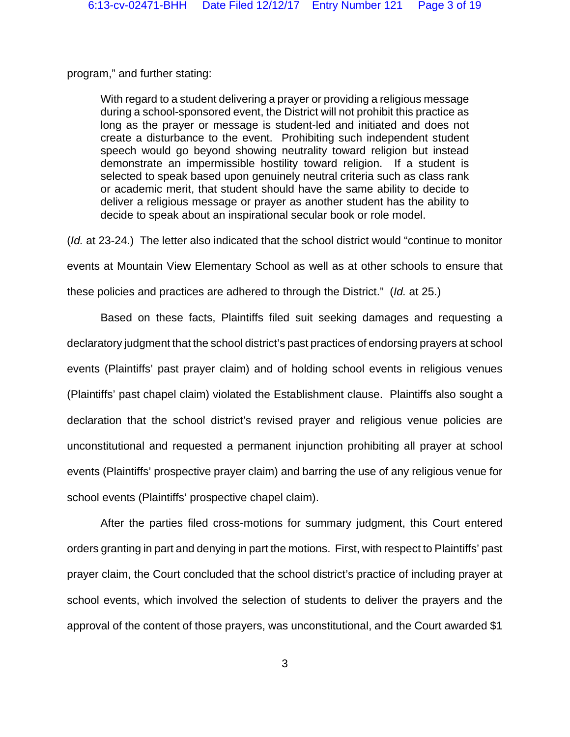program," and further stating:

With regard to a student delivering a prayer or providing a religious message during a school-sponsored event, the District will not prohibit this practice as long as the prayer or message is student-led and initiated and does not create a disturbance to the event. Prohibiting such independent student speech would go beyond showing neutrality toward religion but instead demonstrate an impermissible hostility toward religion. If a student is selected to speak based upon genuinely neutral criteria such as class rank or academic merit, that student should have the same ability to decide to deliver a religious message or prayer as another student has the ability to decide to speak about an inspirational secular book or role model.

(*Id.* at 23-24.) The letter also indicated that the school district would "continue to monitor events at Mountain View Elementary School as well as at other schools to ensure that these policies and practices are adhered to through the District." (*Id.* at 25.)

Based on these facts, Plaintiffs filed suit seeking damages and requesting a declaratory judgment that the school district's past practices of endorsing prayers at school events (Plaintiffs' past prayer claim) and of holding school events in religious venues (Plaintiffs' past chapel claim) violated the Establishment clause. Plaintiffs also sought a declaration that the school district's revised prayer and religious venue policies are unconstitutional and requested a permanent injunction prohibiting all prayer at school events (Plaintiffs' prospective prayer claim) and barring the use of any religious venue for school events (Plaintiffs' prospective chapel claim).

After the parties filed cross-motions for summary judgment, this Court entered orders granting in part and denying in part the motions. First, with respect to Plaintiffs' past prayer claim, the Court concluded that the school district's practice of including prayer at school events, which involved the selection of students to deliver the prayers and the approval of the content of those prayers, was unconstitutional, and the Court awarded \$1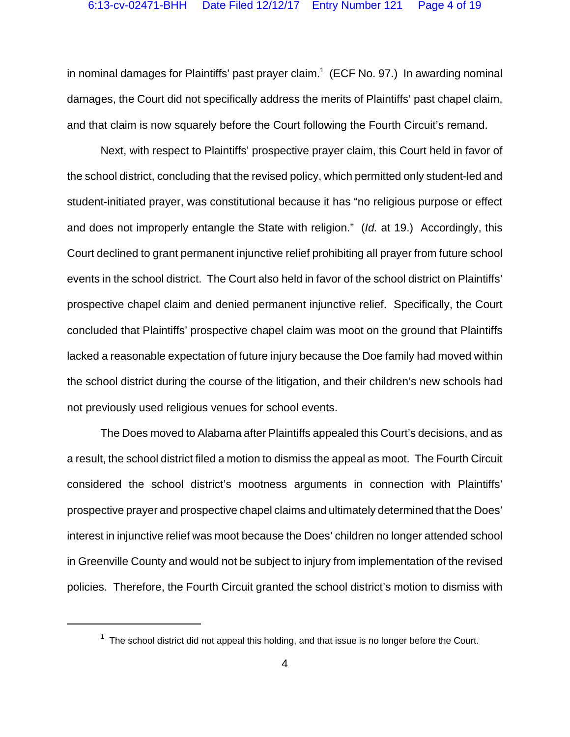in nominal damages for Plaintiffs' past prayer claim.<sup>1</sup> (ECF No. 97.) In awarding nominal damages, the Court did not specifically address the merits of Plaintiffs' past chapel claim, and that claim is now squarely before the Court following the Fourth Circuit's remand.

Next, with respect to Plaintiffs' prospective prayer claim, this Court held in favor of the school district, concluding that the revised policy, which permitted only student-led and student-initiated prayer, was constitutional because it has "no religious purpose or effect and does not improperly entangle the State with religion." (*Id.* at 19.) Accordingly, this Court declined to grant permanent injunctive relief prohibiting all prayer from future school events in the school district. The Court also held in favor of the school district on Plaintiffs' prospective chapel claim and denied permanent injunctive relief. Specifically, the Court concluded that Plaintiffs' prospective chapel claim was moot on the ground that Plaintiffs lacked a reasonable expectation of future injury because the Doe family had moved within the school district during the course of the litigation, and their children's new schools had not previously used religious venues for school events.

The Does moved to Alabama after Plaintiffs appealed this Court's decisions, and as a result, the school district filed a motion to dismiss the appeal as moot. The Fourth Circuit considered the school district's mootness arguments in connection with Plaintiffs' prospective prayer and prospective chapel claims and ultimately determined that the Does' interest in injunctive relief was moot because the Does' children no longer attended school in Greenville County and would not be subject to injury from implementation of the revised policies. Therefore, the Fourth Circuit granted the school district's motion to dismiss with

 $1$  The school district did not appeal this holding, and that issue is no longer before the Court.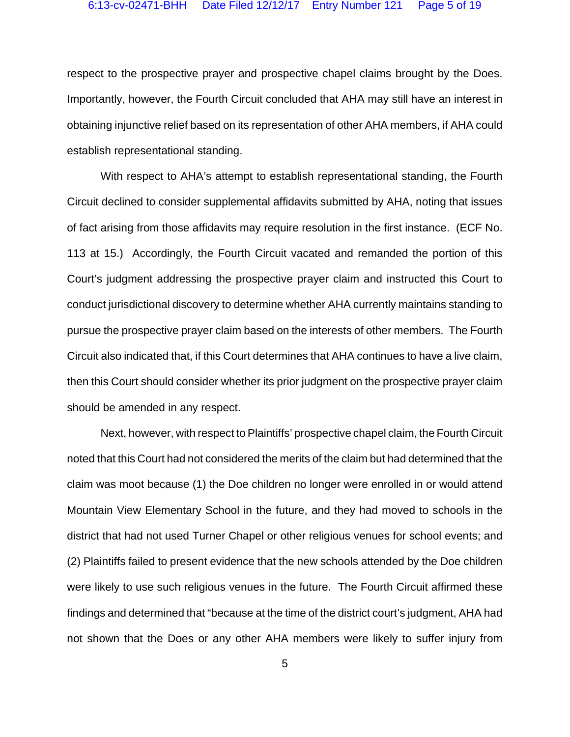respect to the prospective prayer and prospective chapel claims brought by the Does. Importantly, however, the Fourth Circuit concluded that AHA may still have an interest in obtaining injunctive relief based on its representation of other AHA members, if AHA could establish representational standing.

With respect to AHA's attempt to establish representational standing, the Fourth Circuit declined to consider supplemental affidavits submitted by AHA, noting that issues of fact arising from those affidavits may require resolution in the first instance. (ECF No. 113 at 15.) Accordingly, the Fourth Circuit vacated and remanded the portion of this Court's judgment addressing the prospective prayer claim and instructed this Court to conduct jurisdictional discovery to determine whether AHA currently maintains standing to pursue the prospective prayer claim based on the interests of other members. The Fourth Circuit also indicated that, if this Court determines that AHA continues to have a live claim, then this Court should consider whether its prior judgment on the prospective prayer claim should be amended in any respect.

Next, however, with respect to Plaintiffs' prospective chapel claim, the Fourth Circuit noted that this Court had not considered the merits of the claim but had determined that the claim was moot because (1) the Doe children no longer were enrolled in or would attend Mountain View Elementary School in the future, and they had moved to schools in the district that had not used Turner Chapel or other religious venues for school events; and (2) Plaintiffs failed to present evidence that the new schools attended by the Doe children were likely to use such religious venues in the future. The Fourth Circuit affirmed these findings and determined that "because at the time of the district court's judgment, AHA had not shown that the Does or any other AHA members were likely to suffer injury from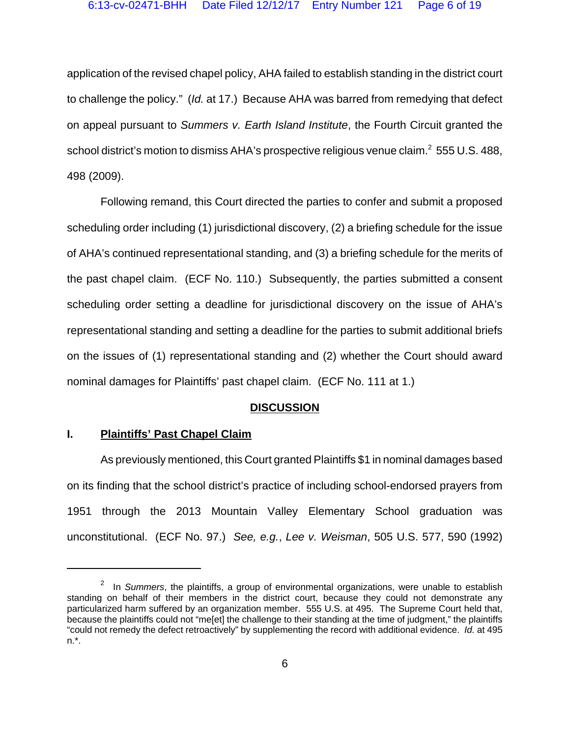application of the revised chapel policy, AHA failed to establish standing in the district court to challenge the policy." (*Id.* at 17.) Because AHA was barred from remedying that defect on appeal pursuant to *Summers v. Earth Island Institute*, the Fourth Circuit granted the school district's motion to dismiss AHA's prospective religious venue claim. $^2$  555 U.S. 488, 498 (2009).

Following remand, this Court directed the parties to confer and submit a proposed scheduling order including (1) jurisdictional discovery, (2) a briefing schedule for the issue of AHA's continued representational standing, and (3) a briefing schedule for the merits of the past chapel claim. (ECF No. 110.) Subsequently, the parties submitted a consent scheduling order setting a deadline for jurisdictional discovery on the issue of AHA's representational standing and setting a deadline for the parties to submit additional briefs on the issues of (1) representational standing and (2) whether the Court should award nominal damages for Plaintiffs' past chapel claim. (ECF No. 111 at 1.)

#### **DISCUSSION**

## **I. Plaintiffs' Past Chapel Claim**

As previously mentioned, this Court granted Plaintiffs \$1 in nominal damages based on its finding that the school district's practice of including school-endorsed prayers from 1951 through the 2013 Mountain Valley Elementary School graduation was unconstitutional. (ECF No. 97.) *See, e.g.*, *Lee v. Weisman*, 505 U.S. 577, 590 (1992)

<sup>2</sup> In *Summers*, the plaintiffs, a group of environmental organizations, were unable to establish standing on behalf of their members in the district court, because they could not demonstrate any particularized harm suffered by an organization member. 555 U.S. at 495. The Supreme Court held that, because the plaintiffs could not "me[et] the challenge to their standing at the time of judgment," the plaintiffs "could not remedy the defect retroactively" by supplementing the record with additional evidence. *Id.* at 495 n.\*.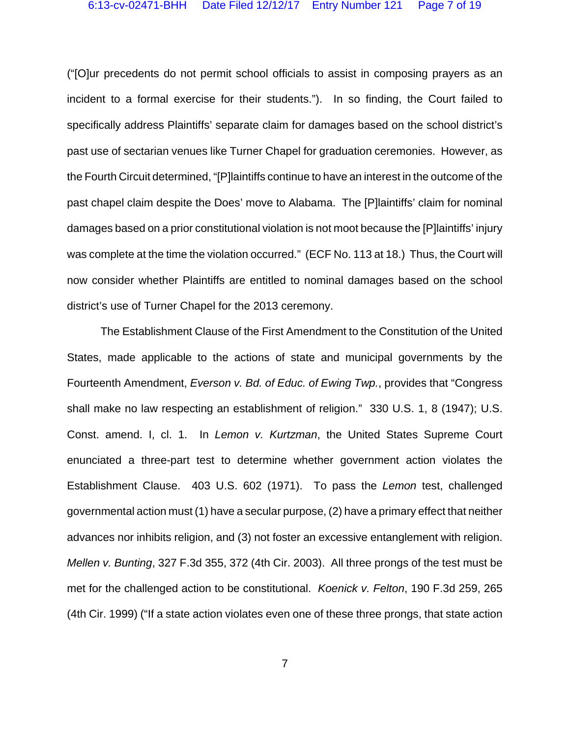("[O]ur precedents do not permit school officials to assist in composing prayers as an incident to a formal exercise for their students."). In so finding, the Court failed to specifically address Plaintiffs' separate claim for damages based on the school district's past use of sectarian venues like Turner Chapel for graduation ceremonies. However, as the Fourth Circuit determined, "[P]laintiffs continue to have an interest in the outcome of the past chapel claim despite the Does' move to Alabama. The [P]laintiffs' claim for nominal damages based on a prior constitutional violation is not moot because the [P]laintiffs' injury was complete at the time the violation occurred."(ECF No. 113 at 18.) Thus, the Court will now consider whether Plaintiffs are entitled to nominal damages based on the school district's use of Turner Chapel for the 2013 ceremony.

The Establishment Clause of the First Amendment to the Constitution of the United States, made applicable to the actions of state and municipal governments by the Fourteenth Amendment, *Everson v. Bd. of Educ. of Ewing Twp.*, provides that "Congress shall make no law respecting an establishment of religion." 330 U.S. 1, 8 (1947); U.S. Const. amend. I, cl. 1. In *Lemon v. Kurtzman*, the United States Supreme Court enunciated a three-part test to determine whether government action violates the Establishment Clause. 403 U.S. 602 (1971). To pass the *Lemon* test, challenged governmental action must (1) have a secular purpose, (2) have a primary effect that neither advances nor inhibits religion, and (3) not foster an excessive entanglement with religion. *Mellen v. Bunting*, 327 F.3d 355, 372 (4th Cir. 2003). All three prongs of the test must be met for the challenged action to be constitutional. *Koenick v. Felton*, 190 F.3d 259, 265 (4th Cir. 1999) ("If a state action violates even one of these three prongs, that state action

7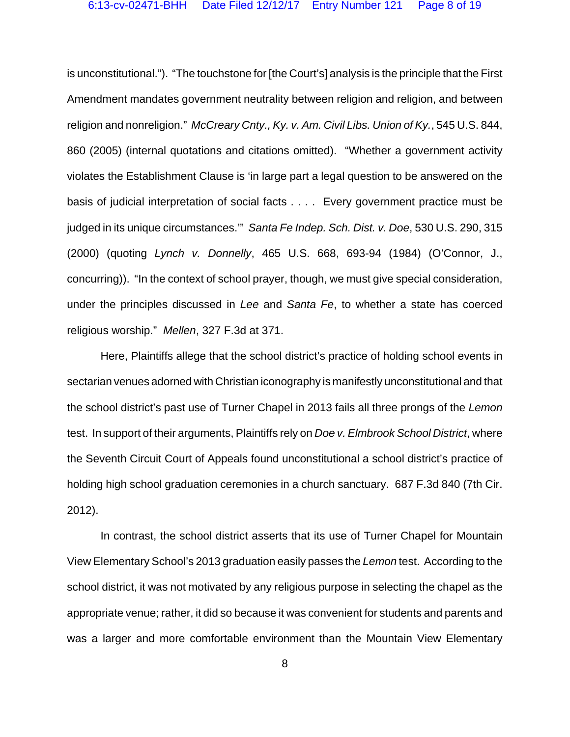is unconstitutional."). "The touchstone for [the Court's] analysis is the principle that the First Amendment mandates government neutrality between religion and religion, and between religion and nonreligion." *McCreary Cnty., Ky. v. Am. Civil Libs. Union of Ky.*, 545 U.S. 844, 860 (2005) (internal quotations and citations omitted). "Whether a government activity violates the Establishment Clause is 'in large part a legal question to be answered on the basis of judicial interpretation of social facts . . . . Every government practice must be judged in its unique circumstances.'" *Santa Fe Indep. Sch. Dist. v. Doe*, 530 U.S. 290, 315 (2000) (quoting *Lynch v. Donnelly*, 465 U.S. 668, 693-94 (1984) (O'Connor, J., concurring)). "In the context of school prayer, though, we must give special consideration, under the principles discussed in *Lee* and *Santa Fe*, to whether a state has coerced religious worship." *Mellen*, 327 F.3d at 371.

Here, Plaintiffs allege that the school district's practice of holding school events in sectarian venues adorned with Christian iconography is manifestly unconstitutional and that the school district's past use of Turner Chapel in 2013 fails all three prongs of the *Lemon* test. In support of their arguments, Plaintiffs rely on *Doe v. Elmbrook School District*, where the Seventh Circuit Court of Appeals found unconstitutional a school district's practice of holding high school graduation ceremonies in a church sanctuary. 687 F.3d 840 (7th Cir. 2012).

In contrast, the school district asserts that its use of Turner Chapel for Mountain View Elementary School's 2013 graduation easily passes the *Lemon* test. According to the school district, it was not motivated by any religious purpose in selecting the chapel as the appropriate venue; rather, it did so because it was convenient for students and parents and was a larger and more comfortable environment than the Mountain View Elementary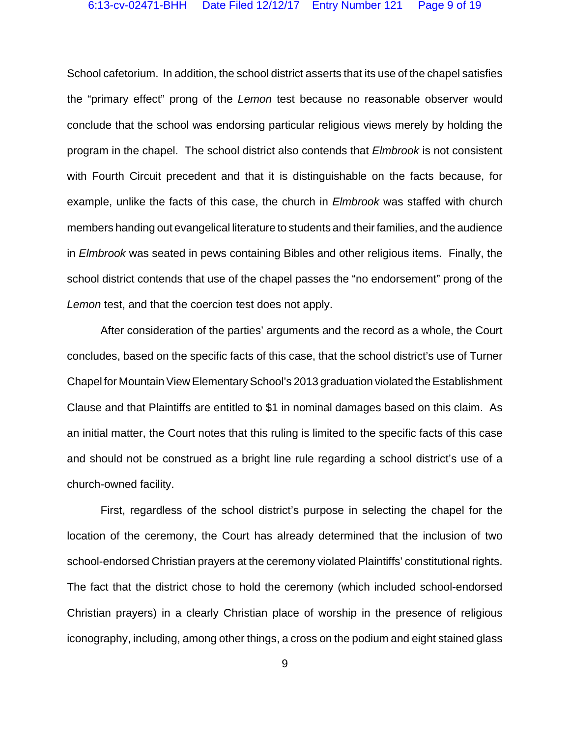School cafetorium. In addition, the school district asserts that its use of the chapel satisfies the "primary effect" prong of the *Lemon* test because no reasonable observer would conclude that the school was endorsing particular religious views merely by holding the program in the chapel. The school district also contends that *Elmbrook* is not consistent with Fourth Circuit precedent and that it is distinguishable on the facts because, for example, unlike the facts of this case, the church in *Elmbrook* was staffed with church members handing out evangelical literature to students and their families, and the audience in *Elmbrook* was seated in pews containing Bibles and other religious items. Finally, the school district contends that use of the chapel passes the "no endorsement" prong of the Lemon test, and that the coercion test does not apply.

After consideration of the parties' arguments and the record as a whole, the Court concludes, based on the specific facts of this case, that the school district's use of Turner Chapel for Mountain View Elementary School's 2013 graduation violated the Establishment Clause and that Plaintiffs are entitled to \$1 in nominal damages based on this claim. As an initial matter, the Court notes that this ruling is limited to the specific facts of this case and should not be construed as a bright line rule regarding a school district's use of a church-owned facility.

First, regardless of the school district's purpose in selecting the chapel for the location of the ceremony, the Court has already determined that the inclusion of two school-endorsed Christian prayers at the ceremony violated Plaintiffs' constitutional rights. The fact that the district chose to hold the ceremony (which included school-endorsed Christian prayers) in a clearly Christian place of worship in the presence of religious iconography, including, among other things, a cross on the podium and eight stained glass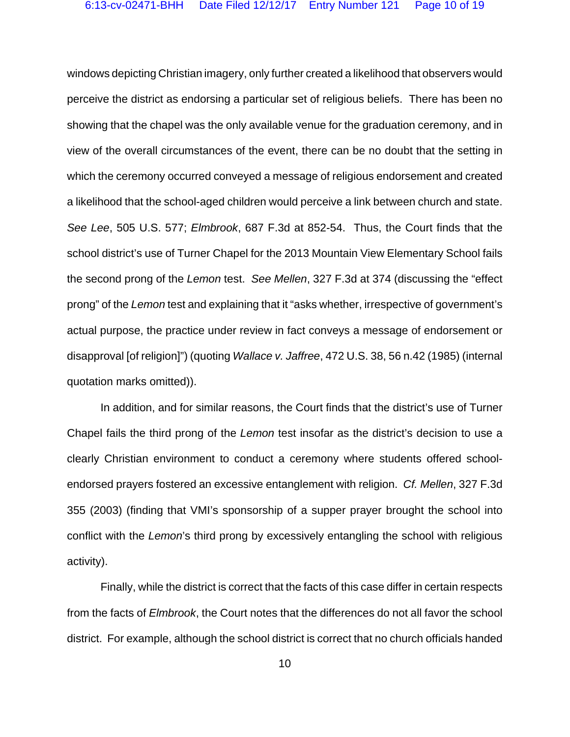windows depicting Christian imagery, only further created a likelihood that observers would perceive the district as endorsing a particular set of religious beliefs. There has been no showing that the chapel was the only available venue for the graduation ceremony, and in view of the overall circumstances of the event, there can be no doubt that the setting in which the ceremony occurred conveyed a message of religious endorsement and created a likelihood that the school-aged children would perceive a link between church and state. *See Lee*, 505 U.S. 577; *Elmbrook*, 687 F.3d at 852-54. Thus, the Court finds that the school district's use of Turner Chapel for the 2013 Mountain View Elementary School fails the second prong of the *Lemon* test. *See Mellen*, 327 F.3d at 374 (discussing the "effect prong" of the *Lemon* test and explaining that it "asks whether, irrespective of government's actual purpose, the practice under review in fact conveys a message of endorsement or disapproval [of religion]") (quoting *Wallace v. Jaffree*, 472 U.S. 38, 56 n.42 (1985) (internal quotation marks omitted)).

In addition, and for similar reasons, the Court finds that the district's use of Turner Chapel fails the third prong of the *Lemon* test insofar as the district's decision to use a clearly Christian environment to conduct a ceremony where students offered schoolendorsed prayers fostered an excessive entanglement with religion. *Cf. Mellen*, 327 F.3d 355 (2003) (finding that VMI's sponsorship of a supper prayer brought the school into conflict with the *Lemon*'s third prong by excessively entangling the school with religious activity).

Finally, while the district is correct that the facts of this case differ in certain respects from the facts of *Elmbrook*, the Court notes that the differences do not all favor the school district. For example, although the school district is correct that no church officials handed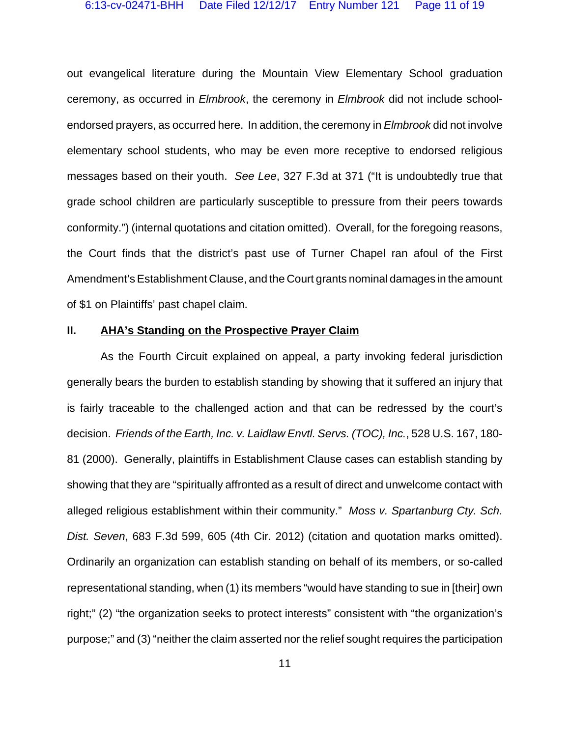out evangelical literature during the Mountain View Elementary School graduation ceremony, as occurred in *Elmbrook*, the ceremony in *Elmbrook* did not include schoolendorsed prayers, as occurred here. In addition, the ceremony in *Elmbrook* did not involve elementary school students, who may be even more receptive to endorsed religious messages based on their youth. *See Lee*, 327 F.3d at 371 ("It is undoubtedly true that grade school children are particularly susceptible to pressure from their peers towards conformity.") (internal quotations and citation omitted). Overall, for the foregoing reasons, the Court finds that the district's past use of Turner Chapel ran afoul of the First Amendment's Establishment Clause, and the Court grants nominal damages in the amount of \$1 on Plaintiffs' past chapel claim.

#### **II. AHA's Standing on the Prospective Prayer Claim**

As the Fourth Circuit explained on appeal, a party invoking federal jurisdiction generally bears the burden to establish standing by showing that it suffered an injury that is fairly traceable to the challenged action and that can be redressed by the court's decision. *Friends of the Earth, Inc. v. Laidlaw Envtl. Servs. (TOC), Inc.*, 528 U.S. 167, 180- 81 (2000). Generally, plaintiffs in Establishment Clause cases can establish standing by showing that they are "spiritually affronted as a result of direct and unwelcome contact with alleged religious establishment within their community." *Moss v. Spartanburg Cty. Sch. Dist. Seven*, 683 F.3d 599, 605 (4th Cir. 2012) (citation and quotation marks omitted). Ordinarily an organization can establish standing on behalf of its members, or so-called representational standing, when (1) its members "would have standing to sue in [their] own right;" (2) "the organization seeks to protect interests" consistent with "the organization's purpose;" and (3) "neither the claim asserted nor the relief sought requires the participation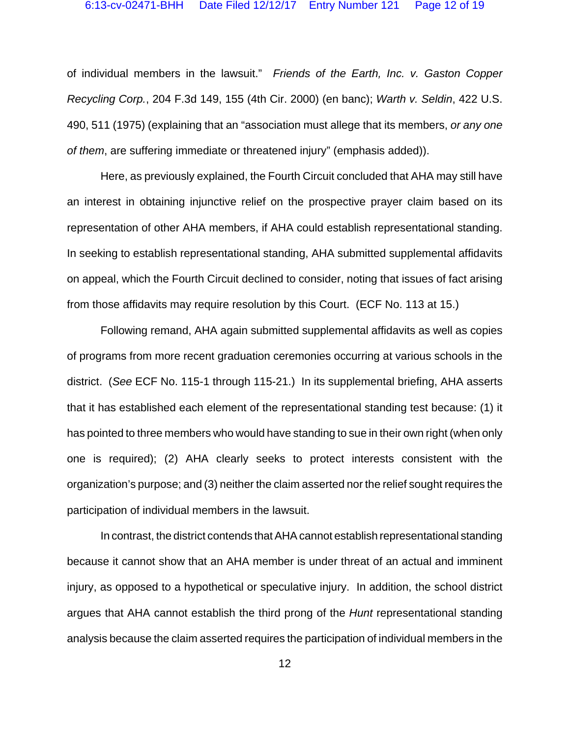of individual members in the lawsuit." *Friends of the Earth, Inc. v. Gaston Copper Recycling Corp.*, 204 F.3d 149, 155 (4th Cir. 2000) (en banc); *Warth v. Seldin*, 422 U.S. 490, 511 (1975) (explaining that an "association must allege that its members, *or any one of them*, are suffering immediate or threatened injury" (emphasis added)).

Here, as previously explained, the Fourth Circuit concluded that AHA may still have an interest in obtaining injunctive relief on the prospective prayer claim based on its representation of other AHA members, if AHA could establish representational standing. In seeking to establish representational standing, AHA submitted supplemental affidavits on appeal, which the Fourth Circuit declined to consider, noting that issues of fact arising from those affidavits may require resolution by this Court. (ECF No. 113 at 15.)

Following remand, AHA again submitted supplemental affidavits as well as copies of programs from more recent graduation ceremonies occurring at various schools in the district. (*See* ECF No. 115-1 through 115-21.) In its supplemental briefing, AHA asserts that it has established each element of the representational standing test because: (1) it has pointed to three members who would have standing to sue in their own right (when only one is required); (2) AHA clearly seeks to protect interests consistent with the organization's purpose; and (3) neither the claim asserted nor the relief sought requires the participation of individual members in the lawsuit.

In contrast, the district contends that AHA cannot establish representational standing because it cannot show that an AHA member is under threat of an actual and imminent injury, as opposed to a hypothetical or speculative injury. In addition, the school district argues that AHA cannot establish the third prong of the *Hunt* representational standing analysis because the claim asserted requires the participation of individual members in the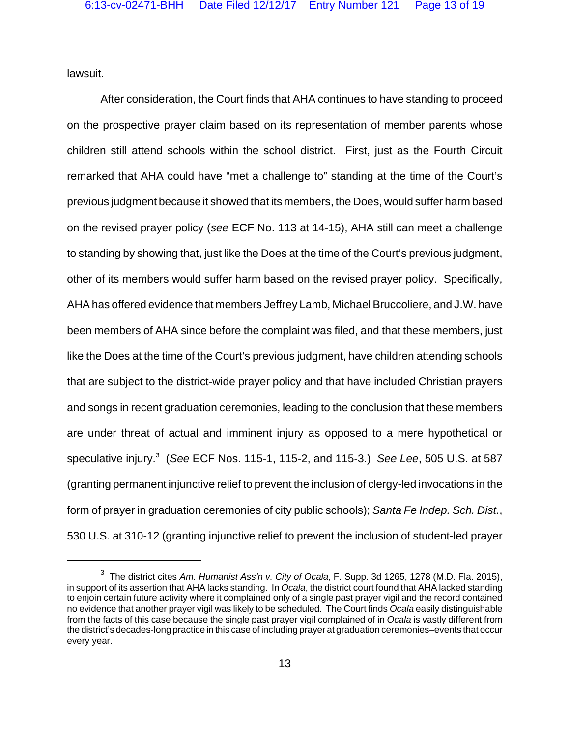lawsuit.

After consideration, the Court finds that AHA continues to have standing to proceed on the prospective prayer claim based on its representation of member parents whose children still attend schools within the school district. First, just as the Fourth Circuit remarked that AHA could have "met a challenge to" standing at the time of the Court's previous judgment because it showed that its members, the Does, would suffer harm based on the revised prayer policy (*see* ECF No. 113 at 14-15), AHA still can meet a challenge to standing by showing that, just like the Does at the time of the Court's previous judgment, other of its members would suffer harm based on the revised prayer policy. Specifically, AHA has offered evidence that members Jeffrey Lamb, Michael Bruccoliere, and J.W. have been members of AHA since before the complaint was filed, and that these members, just like the Does at the time of the Court's previous judgment, have children attending schools that are subject to the district-wide prayer policy and that have included Christian prayers and songs in recent graduation ceremonies, leading to the conclusion that these members are under threat of actual and imminent injury as opposed to a mere hypothetical or speculative injury.<sup>3</sup> (*See* ECF Nos. 115-1, 115-2, and 115-3.) *See Lee*, 505 U.S. at 587 (granting permanent injunctive relief to prevent the inclusion of clergy-led invocations in the form of prayer in graduation ceremonies of city public schools); *Santa Fe Indep. Sch. Dist.*, 530 U.S. at 310-12 (granting injunctive relief to prevent the inclusion of student-led prayer

<sup>3</sup> The district cites *Am. Humanist Ass'n v. City of Ocala*, F. Supp. 3d 1265, 1278 (M.D. Fla. 2015), in support of its assertion that AHA lacks standing. In *Ocala*, the district court found that AHA lacked standing to enjoin certain future activity where it complained only of a single past prayer vigil and the record contained no evidence that another prayer vigil was likely to be scheduled. The Court finds *Ocala* easily distinguishable from the facts of this case because the single past prayer vigil complained of in *Ocala* is vastly different from the district's decades-long practice in this case of including prayer at graduation ceremonies–events that occur every year.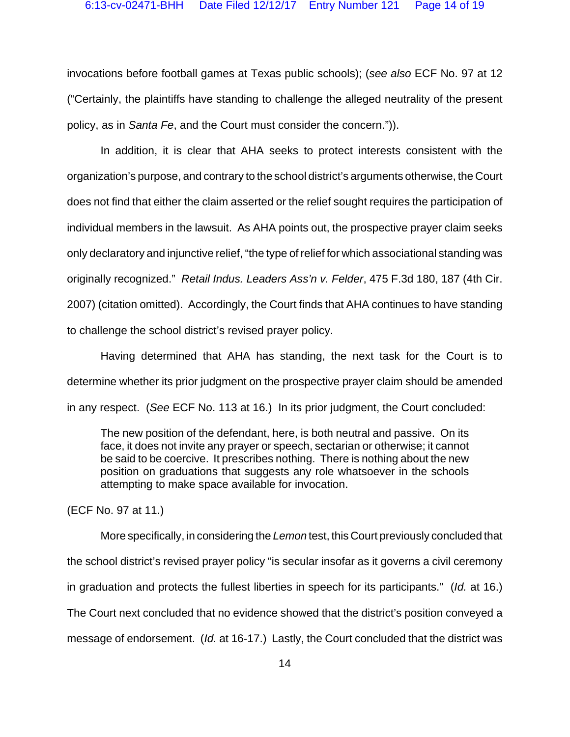invocations before football games at Texas public schools); (*see also* ECF No. 97 at 12 ("Certainly, the plaintiffs have standing to challenge the alleged neutrality of the present policy, as in *Santa Fe*, and the Court must consider the concern.")).

In addition, it is clear that AHA seeks to protect interests consistent with the organization's purpose, and contrary to the school district's arguments otherwise, the Court does not find that either the claim asserted or the relief sought requires the participation of individual members in the lawsuit. As AHA points out, the prospective prayer claim seeks only declaratory and injunctive relief, "the type of relief for which associational standing was originally recognized." *Retail Indus. Leaders Ass'n v. Felder*, 475 F.3d 180, 187 (4th Cir. 2007) (citation omitted). Accordingly, the Court finds that AHA continues to have standing to challenge the school district's revised prayer policy.

Having determined that AHA has standing, the next task for the Court is to determine whether its prior judgment on the prospective prayer claim should be amended in any respect. (*See* ECF No. 113 at 16.) In its prior judgment, the Court concluded:

The new position of the defendant, here, is both neutral and passive. On its face, it does not invite any prayer or speech, sectarian or otherwise; it cannot be said to be coercive. It prescribes nothing. There is nothing about the new position on graduations that suggests any role whatsoever in the schools attempting to make space available for invocation.

(ECF No. 97 at 11.)

More specifically, in considering the *Lemon* test, this Court previously concluded that the school district's revised prayer policy "is secular insofar as it governs a civil ceremony in graduation and protects the fullest liberties in speech for its participants." (*Id.* at 16.) The Court next concluded that no evidence showed that the district's position conveyed a message of endorsement. (*Id.* at 16-17.) Lastly, the Court concluded that the district was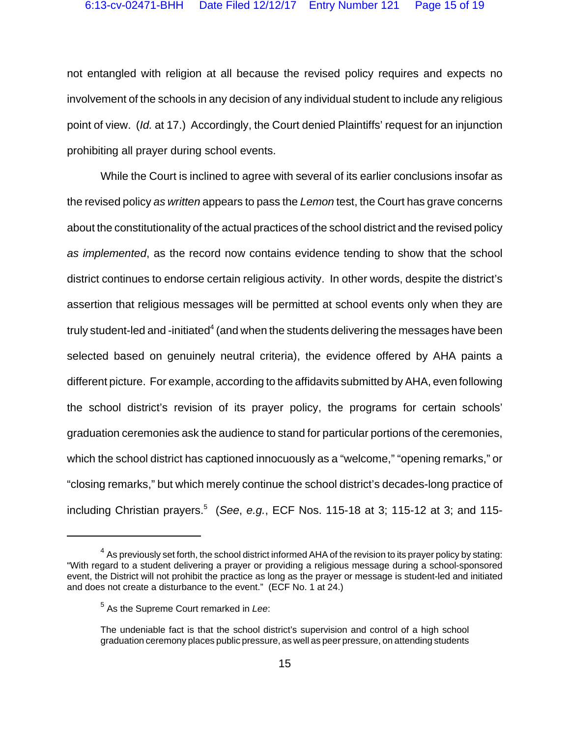not entangled with religion at all because the revised policy requires and expects no involvement of the schools in any decision of any individual student to include any religious point of view. (*Id.* at 17.) Accordingly, the Court denied Plaintiffs' request for an injunction prohibiting all prayer during school events.

While the Court is inclined to agree with several of its earlier conclusions insofar as the revised policy *as written* appears to pass the *Lemon* test, the Court has grave concerns about the constitutionality of the actual practices of the school district and the revised policy *as implemented*, as the record now contains evidence tending to show that the school district continues to endorse certain religious activity. In other words, despite the district's assertion that religious messages will be permitted at school events only when they are truly student-led and -initiated $^4$  (and when the students delivering the messages have been selected based on genuinely neutral criteria), the evidence offered by AHA paints a different picture. For example, according to the affidavits submitted by AHA, even following the school district's revision of its prayer policy, the programs for certain schools' graduation ceremonies ask the audience to stand for particular portions of the ceremonies, which the school district has captioned innocuously as a "welcome," "opening remarks," or "closing remarks," but which merely continue the school district's decades-long practice of including Christian prayers.<sup>5</sup> (*See*, *e.g.*, ECF Nos. 115-18 at 3; 115-12 at 3; and 115-

 $4$  As previously set forth, the school district informed AHA of the revision to its prayer policy by stating: "With regard to a student delivering a prayer or providing a religious message during a school-sponsored event, the District will not prohibit the practice as long as the prayer or message is student-led and initiated and does not create a disturbance to the event." (ECF No. 1 at 24.)

<sup>5</sup> As the Supreme Court remarked in *Lee*:

The undeniable fact is that the school district's supervision and control of a high school graduation ceremony places public pressure, as well as peer pressure, on attending students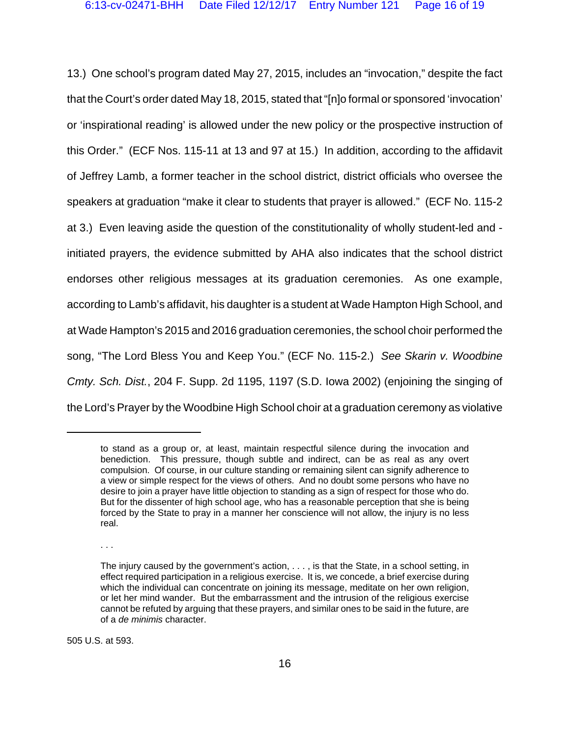13.) One school's program dated May 27, 2015, includes an "invocation," despite the fact that the Court's order dated May 18, 2015, stated that "[n]o formal or sponsored 'invocation' or 'inspirational reading' is allowed under the new policy or the prospective instruction of this Order." (ECF Nos. 115-11 at 13 and 97 at 15.) In addition, according to the affidavit of Jeffrey Lamb, a former teacher in the school district, district officials who oversee the speakers at graduation "make it clear to students that prayer is allowed." (ECF No. 115-2 at 3.) Even leaving aside the question of the constitutionality of wholly student-led and initiated prayers, the evidence submitted by AHA also indicates that the school district endorses other religious messages at its graduation ceremonies. As one example, according to Lamb's affidavit, his daughter is a student at Wade Hampton High School, and at Wade Hampton's 2015 and 2016 graduation ceremonies, the school choir performed the song, "The Lord Bless You and Keep You." (ECF No. 115-2.) *See Skarin v. Woodbine Cmty. Sch. Dist.*, 204 F. Supp. 2d 1195, 1197 (S.D. Iowa 2002) (enjoining the singing of the Lord's Prayer by the Woodbine High School choir at a graduation ceremony as violative

. . .

505 U.S. at 593.

to stand as a group or, at least, maintain respectful silence during the invocation and benediction. This pressure, though subtle and indirect, can be as real as any overt compulsion. Of course, in our culture standing or remaining silent can signify adherence to a view or simple respect for the views of others. And no doubt some persons who have no desire to join a prayer have little objection to standing as a sign of respect for those who do. But for the dissenter of high school age, who has a reasonable perception that she is being forced by the State to pray in a manner her conscience will not allow, the injury is no less real.

The injury caused by the government's action, . . . , is that the State, in a school setting, in effect required participation in a religious exercise. It is, we concede, a brief exercise during which the individual can concentrate on joining its message, meditate on her own religion, or let her mind wander. But the embarrassment and the intrusion of the religious exercise cannot be refuted by arguing that these prayers, and similar ones to be said in the future, are of a *de minimis* character.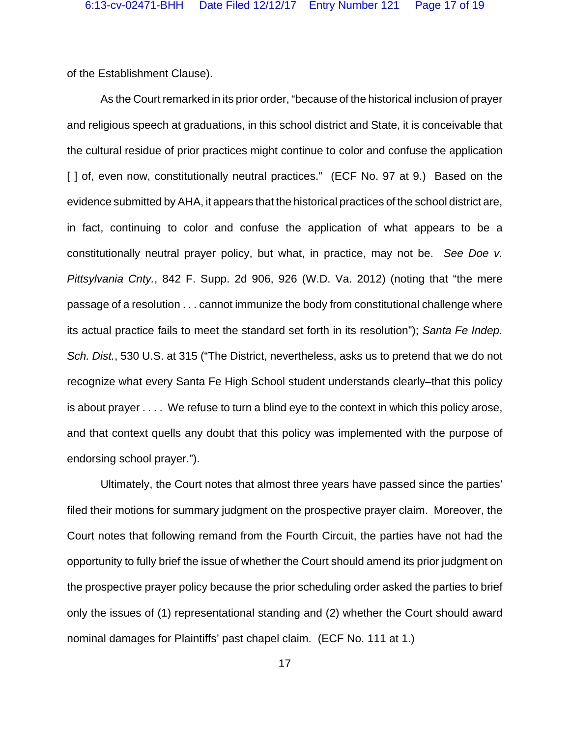of the Establishment Clause).

As the Court remarked in its prior order, "because of the historical inclusion of prayer and religious speech at graduations, in this school district and State, it is conceivable that the cultural residue of prior practices might continue to color and confuse the application [ ] of, even now, constitutionally neutral practices." (ECF No. 97 at 9.) Based on the evidence submitted by AHA, it appears that the historical practices of the school district are, in fact, continuing to color and confuse the application of what appears to be a constitutionally neutral prayer policy, but what, in practice, may not be. *See Doe v. Pittsylvania Cnty.*, 842 F. Supp. 2d 906, 926 (W.D. Va. 2012) (noting that "the mere passage of a resolution . . . cannot immunize the body from constitutional challenge where its actual practice fails to meet the standard set forth in its resolution"); *Santa Fe Indep. Sch. Dist.*, 530 U.S. at 315 ("The District, nevertheless, asks us to pretend that we do not recognize what every Santa Fe High School student understands clearly–that this policy is about prayer . . . . We refuse to turn a blind eye to the context in which this policy arose, and that context quells any doubt that this policy was implemented with the purpose of endorsing school prayer.").

Ultimately, the Court notes that almost three years have passed since the parties' filed their motions for summary judgment on the prospective prayer claim. Moreover, the Court notes that following remand from the Fourth Circuit, the parties have not had the opportunity to fully brief the issue of whether the Court should amend its prior judgment on the prospective prayer policy because the prior scheduling order asked the parties to brief only the issues of (1) representational standing and (2) whether the Court should award nominal damages for Plaintiffs' past chapel claim. (ECF No. 111 at 1.)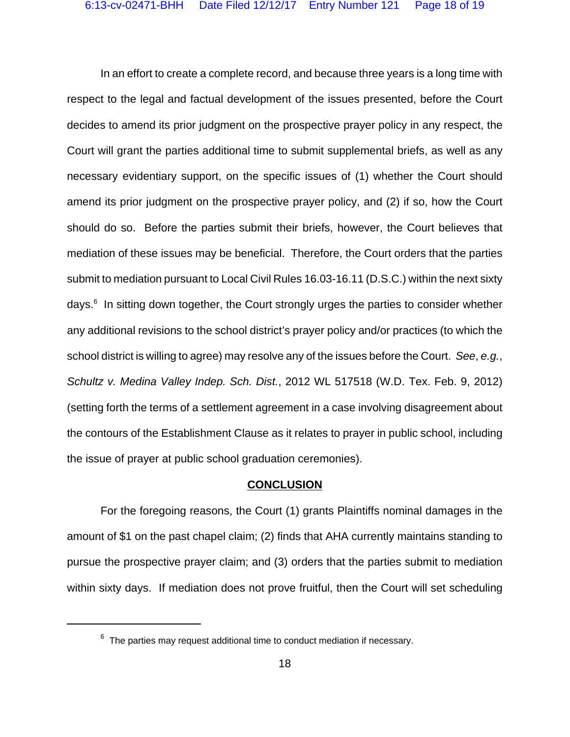In an effort to create a complete record, and because three years is a long time with respect to the legal and factual development of the issues presented, before the Court decides to amend its prior judgment on the prospective prayer policy in any respect, the Court will grant the parties additional time to submit supplemental briefs, as well as any necessary evidentiary support, on the specific issues of (1) whether the Court should amend its prior judgment on the prospective prayer policy, and (2) if so, how the Court should do so. Before the parties submit their briefs, however, the Court believes that mediation of these issues may be beneficial. Therefore, the Court orders that the parties submit to mediation pursuant to Local Civil Rules 16.03-16.11 (D.S.C.) within the next sixty days.<sup>6</sup> In sitting down together, the Court strongly urges the parties to consider whether any additional revisions to the school district's prayer policy and/or practices (to which the school district is willing to agree) may resolve any of the issues before the Court. *See*, *e.g.*, *Schultz v. Medina Valley Indep. Sch. Dist.*, 2012 WL 517518 (W.D. Tex. Feb. 9, 2012) (setting forth the terms of a settlement agreement in a case involving disagreement about the contours of the Establishment Clause as it relates to prayer in public school, including the issue of prayer at public school graduation ceremonies).

#### **CONCLUSION**

For the foregoing reasons, the Court (1) grants Plaintiffs nominal damages in the amount of \$1 on the past chapel claim; (2) finds that AHA currently maintains standing to pursue the prospective prayer claim; and (3) orders that the parties submit to mediation within sixty days. If mediation does not prove fruitful, then the Court will set scheduling

 $6$  The parties may request additional time to conduct mediation if necessary.